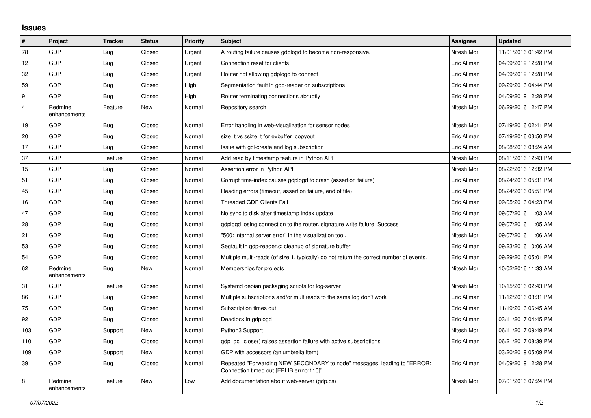## **Issues**

| $\#$           | Project                 | <b>Tracker</b> | <b>Status</b> | <b>Priority</b> | <b>Subject</b>                                                                                                      | Assignee    | <b>Updated</b>      |
|----------------|-------------------------|----------------|---------------|-----------------|---------------------------------------------------------------------------------------------------------------------|-------------|---------------------|
| 78             | GDP                     | <b>Bug</b>     | Closed        | Urgent          | A routing failure causes gdplogd to become non-responsive.                                                          | Nitesh Mor  | 11/01/2016 01:42 PM |
| 12             | GDP                     | <b>Bug</b>     | Closed        | Urgent          | Connection reset for clients                                                                                        | Eric Allman | 04/09/2019 12:28 PM |
| 32             | GDP                     | <b>Bug</b>     | Closed        | Urgent          | Router not allowing gdplogd to connect                                                                              | Eric Allman | 04/09/2019 12:28 PM |
| 59             | GDP                     | <b>Bug</b>     | Closed        | High            | Segmentation fault in gdp-reader on subscriptions                                                                   | Eric Allman | 09/29/2016 04:44 PM |
| 9              | <b>GDP</b>              | Bug            | Closed        | High            | Router terminating connections abruptly                                                                             | Eric Allman | 04/09/2019 12:28 PM |
| $\overline{4}$ | Redmine<br>enhancements | Feature        | New           | Normal          | Repository search                                                                                                   | Nitesh Mor  | 06/29/2016 12:47 PM |
| 19             | GDP                     | Bug            | Closed        | Normal          | Error handling in web-visualization for sensor nodes                                                                | Nitesh Mor  | 07/19/2016 02:41 PM |
| 20             | GDP                     | Bug            | Closed        | Normal          | size t vs ssize t for evbuffer copyout                                                                              | Eric Allman | 07/19/2016 03:50 PM |
| 17             | GDP                     | <b>Bug</b>     | Closed        | Normal          | Issue with gcl-create and log subscription                                                                          | Eric Allman | 08/08/2016 08:24 AM |
| 37             | GDP                     | Feature        | Closed        | Normal          | Add read by timestamp feature in Python API                                                                         | Nitesh Mor  | 08/11/2016 12:43 PM |
| 15             | GDP                     | <b>Bug</b>     | Closed        | Normal          | Assertion error in Python API                                                                                       | Nitesh Mor  | 08/22/2016 12:32 PM |
| 51             | GDP                     | <b>Bug</b>     | Closed        | Normal          | Corrupt time-index causes gdplogd to crash (assertion failure)                                                      | Eric Allman | 08/24/2016 05:31 PM |
| 45             | GDP                     | <b>Bug</b>     | Closed        | Normal          | Reading errors (timeout, assertion failure, end of file)                                                            | Eric Allman | 08/24/2016 05:51 PM |
| 16             | GDP                     | <b>Bug</b>     | Closed        | Normal          | <b>Threaded GDP Clients Fail</b>                                                                                    | Eric Allman | 09/05/2016 04:23 PM |
| 47             | <b>GDP</b>              | Bug            | Closed        | Normal          | No sync to disk after timestamp index update                                                                        | Eric Allman | 09/07/2016 11:03 AM |
| 28             | GDP                     | <b>Bug</b>     | Closed        | Normal          | gdplogd losing connection to the router, signature write failure: Success                                           | Eric Allman | 09/07/2016 11:05 AM |
| 21             | GDP                     | <b>Bug</b>     | Closed        | Normal          | "500: internal server error" in the visualization tool.                                                             | Nitesh Mor  | 09/07/2016 11:06 AM |
| 53             | <b>GDP</b>              | <b>Bug</b>     | Closed        | Normal          | Segfault in gdp-reader.c; cleanup of signature buffer                                                               | Eric Allman | 09/23/2016 10:06 AM |
| 54             | GDP                     | <b>Bug</b>     | Closed        | Normal          | Multiple multi-reads (of size 1, typically) do not return the correct number of events.                             | Eric Allman | 09/29/2016 05:01 PM |
| 62             | Redmine<br>enhancements | <b>Bug</b>     | <b>New</b>    | Normal          | Memberships for projects                                                                                            | Nitesh Mor  | 10/02/2016 11:33 AM |
| 31             | GDP                     | Feature        | Closed        | Normal          | Systemd debian packaging scripts for log-server                                                                     | Nitesh Mor  | 10/15/2016 02:43 PM |
| 86             | GDP                     | <b>Bug</b>     | Closed        | Normal          | Multiple subscriptions and/or multireads to the same log don't work                                                 | Eric Allman | 11/12/2016 03:31 PM |
| 75             | <b>GDP</b>              | <b>Bug</b>     | Closed        | Normal          | Subscription times out                                                                                              | Eric Allman | 11/19/2016 06:45 AM |
| 92             | GDP                     | Bug            | Closed        | Normal          | Deadlock in gdplogd                                                                                                 | Eric Allman | 03/11/2017 04:45 PM |
| 103            | GDP                     | Support        | New           | Normal          | Python3 Support                                                                                                     | Nitesh Mor  | 06/11/2017 09:49 PM |
| 110            | GDP                     | Bug            | Closed        | Normal          | gdp gcl close() raises assertion failure with active subscriptions                                                  | Eric Allman | 06/21/2017 08:39 PM |
| 109            | GDP                     | Support        | New           | Normal          | GDP with accessors (an umbrella item)                                                                               |             | 03/20/2019 05:09 PM |
| 39             | <b>GDP</b>              | <b>Bug</b>     | Closed        | Normal          | Repeated "Forwarding NEW SECONDARY to node" messages, leading to "ERROR:<br>Connection timed out [EPLIB:errno:110]" | Eric Allman | 04/09/2019 12:28 PM |
| 8              | Redmine<br>enhancements | Feature        | New           | Low             | Add documentation about web-server (gdp.cs)                                                                         | Nitesh Mor  | 07/01/2016 07:24 PM |